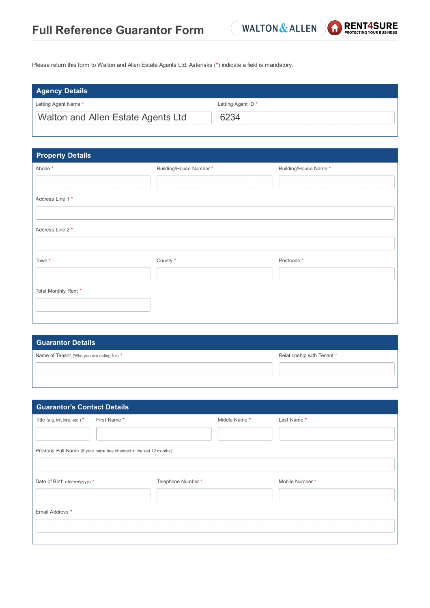

Please return this form to Walton and Allen Estate Agents Ltd. Asterisks (\*) indicate a field is mandatory.

| <b>Agency Details</b>              |                               |
|------------------------------------|-------------------------------|
| Letting Agent Name *               | Letting Agent ID <sup>*</sup> |
| Walton and Allen Estate Agents Ltd | 6234                          |

| <b>Property Details</b> |                        |                       |
|-------------------------|------------------------|-----------------------|
| Abode *                 | Building/House Number* | Building/House Name * |
|                         |                        |                       |
| Address Line 1*         |                        |                       |
|                         |                        |                       |
| Address Line 2 *        |                        |                       |
|                         |                        |                       |
| Town <sup>*</sup>       | County *               | Postcode *            |
|                         |                        |                       |
| Total Monthly Rent *    |                        |                       |
|                         |                        |                       |
|                         |                        |                       |

| <b>Guarantor Details</b>                  |                            |
|-------------------------------------------|----------------------------|
| Name of Tenant (Who you are acting for) * | Relationship with Tenant * |
|                                           |                            |
|                                           |                            |

| <b>Guarantor's Contact Details</b> |                                                                     |                    |              |                |
|------------------------------------|---------------------------------------------------------------------|--------------------|--------------|----------------|
| Title (e.g. Mr, Mrs, etc.) $*$     | First Name*                                                         |                    | Middle Name* | Last Name*     |
|                                    | Previous Full Name (If your name has changed in the last 12 months) |                    |              |                |
| Date of Birth (dd/mm/yyyy) *       |                                                                     | Telephone Number * |              | Mobile Number* |
| Email Address *                    |                                                                     |                    |              |                |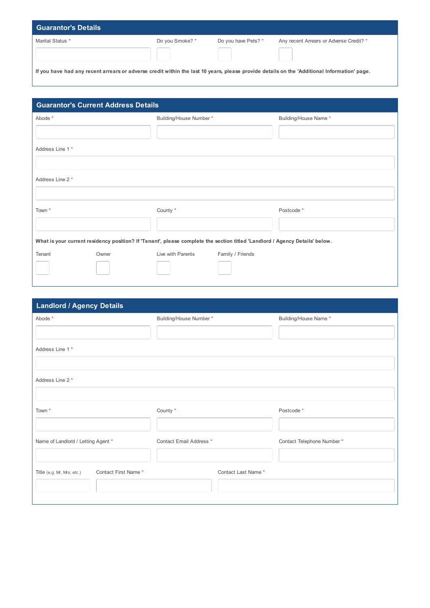| <b>Guarantor's Details</b>                                                                                                                  |                 |                            |                                         |
|---------------------------------------------------------------------------------------------------------------------------------------------|-----------------|----------------------------|-----------------------------------------|
| Marital Status *                                                                                                                            | Do you Smoke? * | Do you have Pets? *        | Any recent Arrears or Adverse Credit? * |
|                                                                                                                                             |                 | and the state of the state | and the state                           |
| If you have had any recent arrears or adverse credit within the last 10 years, please provide details on the 'Additional Information' page. |                 |                            |                                         |

| <b>Guarantor's Current Address Details</b> |       |                                                                                                                             |                  |                       |
|--------------------------------------------|-------|-----------------------------------------------------------------------------------------------------------------------------|------------------|-----------------------|
| Abode *                                    |       | Building/House Number*                                                                                                      |                  | Building/House Name * |
|                                            |       |                                                                                                                             |                  |                       |
| Address Line 1*                            |       |                                                                                                                             |                  |                       |
|                                            |       |                                                                                                                             |                  |                       |
| Address Line 2 *                           |       |                                                                                                                             |                  |                       |
|                                            |       |                                                                                                                             |                  |                       |
|                                            |       |                                                                                                                             |                  |                       |
| Town <sup>*</sup>                          |       | County *                                                                                                                    |                  | Postcode *            |
|                                            |       |                                                                                                                             |                  |                       |
|                                            |       | What is your current residency position? If 'Tenant', please complete the section titled 'Landlord / Agency Details' below. |                  |                       |
| Tenant                                     | Owner | Live with Parents                                                                                                           | Family / Friends |                       |
|                                            |       |                                                                                                                             |                  |                       |
|                                            |       |                                                                                                                             |                  |                       |

| <b>Landlord / Agency Details</b>                  |                         |                           |
|---------------------------------------------------|-------------------------|---------------------------|
| Abode *                                           | Building/House Number * | Building/House Name *     |
|                                                   |                         |                           |
| Address Line 1 *                                  |                         |                           |
|                                                   |                         |                           |
| Address Line 2 *                                  |                         |                           |
|                                                   |                         |                           |
| Town *                                            | County *                | Postcode *                |
|                                                   |                         |                           |
| Name of Landlord / Letting Agent *                | Contact Email Address * | Contact Telephone Number* |
|                                                   |                         |                           |
| Contact First Name*<br>Title (e.g. Mr, Mrs, etc.) | Contact Last Name*      |                           |
|                                                   |                         |                           |
|                                                   |                         |                           |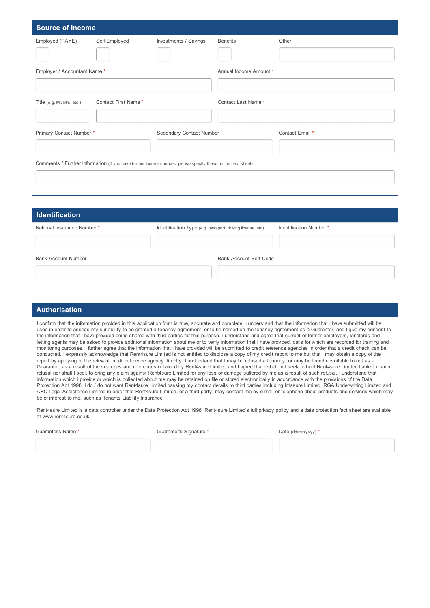| <b>Source of Income</b>      |                     |                                                                                                             |                        |                 |
|------------------------------|---------------------|-------------------------------------------------------------------------------------------------------------|------------------------|-----------------|
| Employed (PAYE)              | Self-Employed       | Investments / Savings                                                                                       | <b>Benefits</b>        | Other           |
| Employer / Accountant Name * |                     |                                                                                                             | Annual Income Amount * |                 |
| Title (e.g. Mr, Mrs, etc.)   | Contact First Name* |                                                                                                             | Contact Last Name *    |                 |
| Primary Contact Number*      |                     | Secondary Contact Number                                                                                    |                        | Contact Email * |
|                              |                     | Comments / Further Information (if you have further income sources, please specify these on the next sheet) |                        |                 |

| <b>Identification</b>       |                                                           |                        |
|-----------------------------|-----------------------------------------------------------|------------------------|
| National Insurance Number * | Identification Type (e.g. passport, driving license, etc) | Identification Number* |
|                             |                                                           |                        |
| Bank Account Number         | Bank Account Sort Code                                    |                        |
|                             |                                                           |                        |
|                             |                                                           |                        |

## **Authorisation**

I confirm that the information provided in this application form is true, accurate and complete. I understand that the information that I have submitted will be used in order to assess my suitability to be granted a tenancy agreement, or to be named on the tenancy agreement as a Guarantor, and I give my consent to the information that I have provided being shared with third parties for this purpose. I understand and agree that current or former employers, landlords and letting agents may be asked to provide additional information about me or to verify information that I have provided, calls for which are recorded for training and monitoring purposes. I further agree that the information that I have provided will be submitted to credit reference agencies in order that a credit check can be conducted. I expressly acknowledge that Rent4sure Limited is not entitled to disclose a copy of my credit report to me but that I may obtain a copy of the report by applying to the relevant credit reference agency directly. I understand that I may be refused a tenancy, or may be found unsuitable to act as a Guarantor, as a result of the searches and references obtained by Rent4sure Limited and I agree that I shall not seek to hold Rent4sure Limited liable for such refusal nor shall I seek to bring any claim against Rent4sure Limited for any loss or damage suffered by me as a result of such refusal. I understand that information which I provide or which is collected about me may be retained on file or stored electronically in accordance with the provisions of the Data Protection Act 1998. I do / do not want Rent4sure Limited passing my contact details to third parties including Intasure Limited, RGA Underwriting Limited and ARC Legal Assistance Limited in order that Rent4sure Limited, or a third party, may contact me by e-mail or telephone about products and services which may be of interest to me, such as Tenants Liability Insurance.

Rent4sure Limited is a data controller under the Data Protection Act 1998. Rent4sure Limited's full privacy policy and a data protection fact sheet are available at www.rent4sure.co.uk.

Guarantor's Name \* The Summary of Guarantor's Signature \* The Content of the Colombia Cuarantor's Signature \* Date (dd/mm/yyyy) \*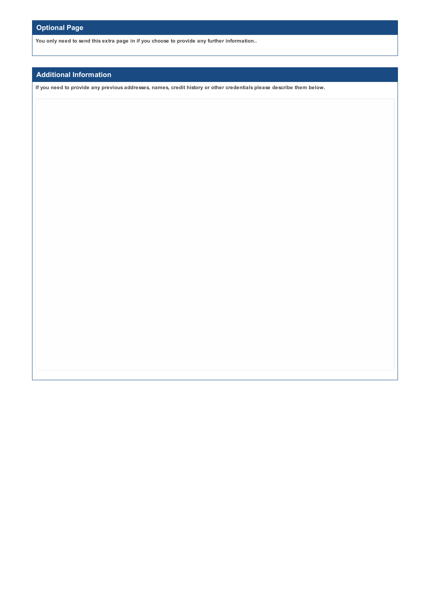**You only need to send this extra page in if you choose to provide any further information..**

## **Additional Information**

If you need to provide any previous addresses, names, credit history or other credentials please describe them below.